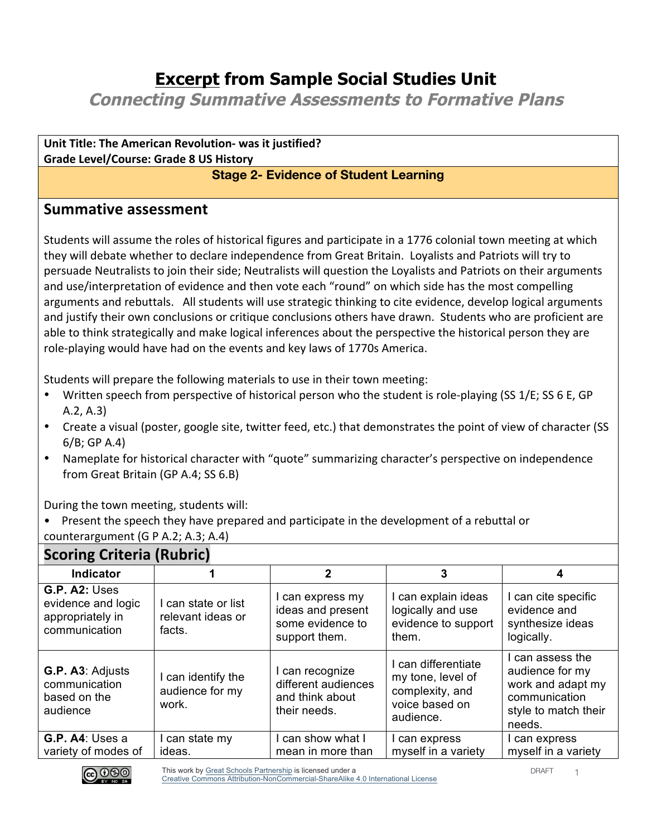## **Excerpt from Sample Social Studies Unit**

**Connecting Summative Assessments to Formative Plans**

**Unit Title: The American Revolution- was it justified? Grade Level/Course: Grade 8 US History**

## **Stage 2- Evidence of Student Learning**

## **Summative assessment**

Students will assume the roles of historical figures and participate in a 1776 colonial town meeting at which they will debate whether to declare independence from Great Britain. Loyalists and Patriots will try to persuade Neutralists to join their side; Neutralists will question the Loyalists and Patriots on their arguments and use/interpretation of evidence and then vote each "round" on which side has the most compelling arguments and rebuttals. All students will use strategic thinking to cite evidence, develop logical arguments and justify their own conclusions or critique conclusions others have drawn. Students who are proficient are able to think strategically and make logical inferences about the perspective the historical person they are role-playing would have had on the events and key laws of 1770s America.

Students will prepare the following materials to use in their town meeting:

- Written speech from perspective of historical person who the student is role-playing (SS 1/E; SS 6 E, GP  $A.2, A.3$
- Create a visual (poster, google site, twitter feed, etc.) that demonstrates the point of view of character (SS  $6/B$ ; GP A.4)
- Nameplate for historical character with "quote" summarizing character's perspective on independence from Great Britain (GP A.4; SS 6.B)

During the town meeting, students will:

• Present the speech they have prepared and participate in the development of a rebuttal or counterargument (G P A.2; A.3; A.4)

| Scoring Criteria (Rubric)                                                       |                                                    |                                                                            |                                                                                            |                                                                                                             |
|---------------------------------------------------------------------------------|----------------------------------------------------|----------------------------------------------------------------------------|--------------------------------------------------------------------------------------------|-------------------------------------------------------------------------------------------------------------|
| <b>Indicator</b>                                                                |                                                    | 2                                                                          | 3                                                                                          | 4                                                                                                           |
| <b>G.P. A2: Uses</b><br>evidence and logic<br>appropriately in<br>communication | I can state or list<br>relevant ideas or<br>facts. | I can express my<br>ideas and present<br>some evidence to<br>support them. | I can explain ideas<br>logically and use<br>evidence to support<br>them.                   | I can cite specific<br>evidence and<br>synthesize ideas<br>logically.                                       |
| G.P. A3: Adjusts<br>communication<br>based on the<br>audience                   | can identify the<br>audience for my<br>work.       | I can recognize<br>different audiences<br>and think about<br>their needs.  | I can differentiate<br>my tone, level of<br>complexity, and<br>voice based on<br>audience. | I can assess the<br>audience for my<br>work and adapt my<br>communication<br>style to match their<br>needs. |
| $G.P. A4:$ Uses a<br>variety of modes of                                        | can state my<br>ideas.                             | can show what I<br>mean in more than                                       | l can express<br>myself in a variety                                                       | I can express<br>myself in a variety                                                                        |

## **Scoring Criteria (Rubric)**

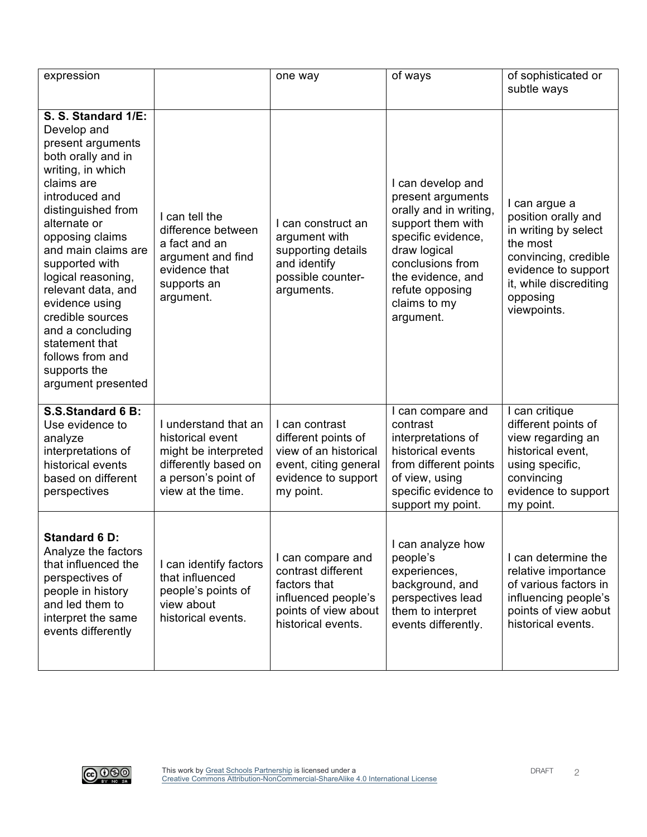| expression                                                                                                                                                                                                                                                                                                                                                                                                             |                                                                                                                                      | one way                                                                                                                      | of ways                                                                                                                                                                                                              | of sophisticated or<br>subtle ways                                                                                                                                           |
|------------------------------------------------------------------------------------------------------------------------------------------------------------------------------------------------------------------------------------------------------------------------------------------------------------------------------------------------------------------------------------------------------------------------|--------------------------------------------------------------------------------------------------------------------------------------|------------------------------------------------------------------------------------------------------------------------------|----------------------------------------------------------------------------------------------------------------------------------------------------------------------------------------------------------------------|------------------------------------------------------------------------------------------------------------------------------------------------------------------------------|
| S. S. Standard 1/E:<br>Develop and<br>present arguments<br>both orally and in<br>writing, in which<br>claims are<br>introduced and<br>distinguished from<br>alternate or<br>opposing claims<br>and main claims are<br>supported with<br>logical reasoning,<br>relevant data, and<br>evidence using<br>credible sources<br>and a concluding<br>statement that<br>follows from and<br>supports the<br>argument presented | I can tell the<br>difference between<br>a fact and an<br>argument and find<br>evidence that<br>supports an<br>argument.              | I can construct an<br>argument with<br>supporting details<br>and identify<br>possible counter-<br>arguments.                 | I can develop and<br>present arguments<br>orally and in writing,<br>support them with<br>specific evidence,<br>draw logical<br>conclusions from<br>the evidence, and<br>refute opposing<br>claims to my<br>argument. | I can argue a<br>position orally and<br>in writing by select<br>the most<br>convincing, credible<br>evidence to support<br>it, while discrediting<br>opposing<br>viewpoints. |
| S.S.Standard 6 B:<br>Use evidence to<br>analyze<br>interpretations of<br>historical events<br>based on different<br>perspectives                                                                                                                                                                                                                                                                                       | I understand that an<br>historical event<br>might be interpreted<br>differently based on<br>a person's point of<br>view at the time. | I can contrast<br>different points of<br>view of an historical<br>event, citing general<br>evidence to support<br>my point.  | I can compare and<br>contrast<br>interpretations of<br>historical events<br>from different points<br>of view, using<br>specific evidence to<br>support my point.                                                     | I can critique<br>different points of<br>view regarding an<br>historical event,<br>using specific,<br>convincing<br>evidence to support<br>my point.                         |
| <b>Standard 6 D:</b><br>Analyze the factors<br>that influenced the<br>perspectives of<br>people in history<br>and led them to<br>interpret the same<br>events differently                                                                                                                                                                                                                                              | I can identify factors<br>that influenced<br>people's points of<br>view about<br>historical events.                                  | I can compare and<br>contrast different<br>factors that<br>influenced people's<br>points of view about<br>historical events. | I can analyze how<br>people's<br>experiences,<br>background, and<br>perspectives lead<br>them to interpret<br>events differently.                                                                                    | I can determine the<br>relative importance<br>of various factors in<br>influencing people's<br>points of view aobut<br>historical events.                                    |

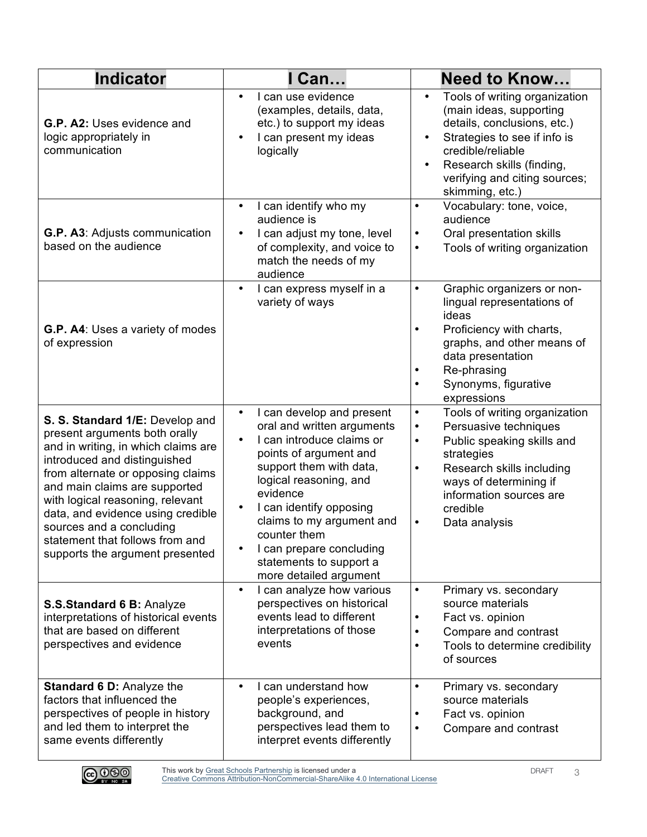| <b>Indicator</b>                                                                                                                                                                                                                                                                                                                                                                         | Can                                                                                                                                                                                                                                                                                                                                                                | <b>Need to Know</b>                                                                                                                                                                                                                                                        |  |
|------------------------------------------------------------------------------------------------------------------------------------------------------------------------------------------------------------------------------------------------------------------------------------------------------------------------------------------------------------------------------------------|--------------------------------------------------------------------------------------------------------------------------------------------------------------------------------------------------------------------------------------------------------------------------------------------------------------------------------------------------------------------|----------------------------------------------------------------------------------------------------------------------------------------------------------------------------------------------------------------------------------------------------------------------------|--|
| G.P. A2: Uses evidence and<br>logic appropriately in<br>communication                                                                                                                                                                                                                                                                                                                    | I can use evidence<br>$\bullet$<br>(examples, details, data,<br>etc.) to support my ideas<br>I can present my ideas<br>logically                                                                                                                                                                                                                                   | Tools of writing organization<br>$\bullet$<br>(main ideas, supporting<br>details, conclusions, etc.)<br>Strategies to see if info is<br>$\bullet$<br>credible/reliable<br>Research skills (finding,<br>$\bullet$<br>verifying and citing sources;<br>skimming, etc.)       |  |
| G.P. A3: Adjusts communication<br>based on the audience                                                                                                                                                                                                                                                                                                                                  | I can identify who my<br>$\bullet$<br>audience is<br>I can adjust my tone, level<br>$\bullet$<br>of complexity, and voice to<br>match the needs of my<br>audience                                                                                                                                                                                                  | Vocabulary: tone, voice,<br>٠<br>audience<br>Oral presentation skills<br>$\bullet$<br>Tools of writing organization<br>$\bullet$                                                                                                                                           |  |
| G.P. A4: Uses a variety of modes<br>of expression                                                                                                                                                                                                                                                                                                                                        | I can express myself in a<br>$\bullet$<br>variety of ways                                                                                                                                                                                                                                                                                                          | Graphic organizers or non-<br>$\bullet$<br>lingual representations of<br>ideas<br>Proficiency with charts,<br>$\bullet$<br>graphs, and other means of<br>data presentation<br>Re-phrasing<br>Synonyms, figurative<br>expressions                                           |  |
| S. S. Standard 1/E: Develop and<br>present arguments both orally<br>and in writing, in which claims are<br>introduced and distinguished<br>from alternate or opposing claims<br>and main claims are supported<br>with logical reasoning, relevant<br>data, and evidence using credible<br>sources and a concluding<br>statement that follows from and<br>supports the argument presented | I can develop and present<br>$\bullet$<br>oral and written arguments<br>I can introduce claims or<br>points of argument and<br>support them with data,<br>logical reasoning, and<br>evidence<br>I can identify opposing<br>$\bullet$<br>claims to my argument and<br>counter them<br>I can prepare concluding<br>statements to support a<br>more detailed argument | Tools of writing organization<br>$\bullet$<br>Persuasive techniques<br>$\bullet$<br>Public speaking skills and<br>٠<br>strategies<br>Research skills including<br>$\bullet$<br>ways of determining if<br>information sources are<br>credible<br>Data analysis<br>$\bullet$ |  |
| S.S.Standard 6 B: Analyze<br>interpretations of historical events<br>that are based on different<br>perspectives and evidence                                                                                                                                                                                                                                                            | I can analyze how various<br>$\bullet$<br>perspectives on historical<br>events lead to different<br>interpretations of those<br>events                                                                                                                                                                                                                             | Primary vs. secondary<br>$\bullet$<br>source materials<br>Fact vs. opinion<br>٠<br>Compare and contrast<br>٠<br>Tools to determine credibility<br>٠<br>of sources                                                                                                          |  |
| Standard 6 D: Analyze the<br>factors that influenced the<br>perspectives of people in history<br>and led them to interpret the<br>same events differently                                                                                                                                                                                                                                | I can understand how<br>$\bullet$<br>people's experiences,<br>background, and<br>perspectives lead them to<br>interpret events differently                                                                                                                                                                                                                         | Primary vs. secondary<br>$\bullet$<br>source materials<br>Fact vs. opinion<br>Compare and contrast<br>$\bullet$                                                                                                                                                            |  |

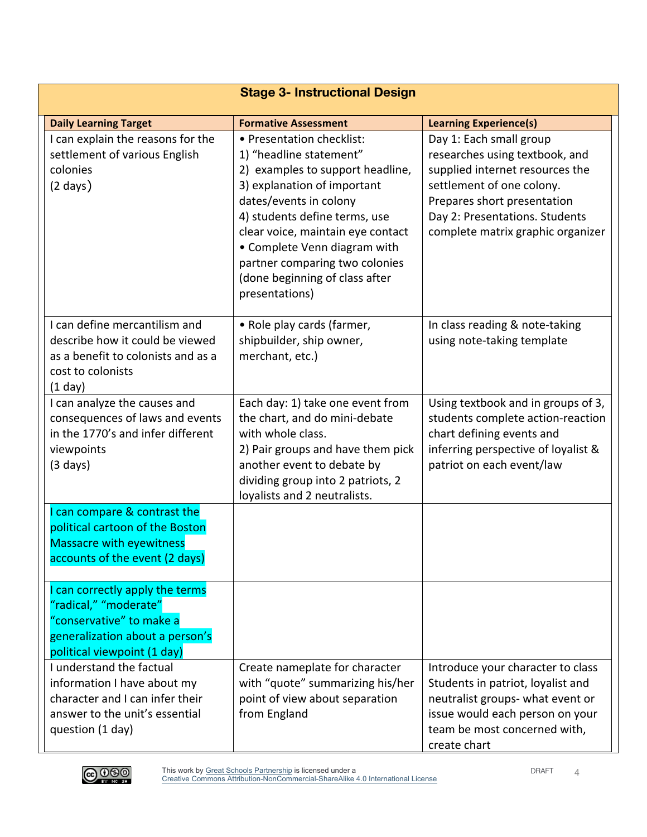|                                                                                                                                                        | <b>Stage 3- Instructional Design</b>                                                                                                                                                                                                                                                                                                          |                                                                                                                                                                                                                                 |
|--------------------------------------------------------------------------------------------------------------------------------------------------------|-----------------------------------------------------------------------------------------------------------------------------------------------------------------------------------------------------------------------------------------------------------------------------------------------------------------------------------------------|---------------------------------------------------------------------------------------------------------------------------------------------------------------------------------------------------------------------------------|
| <b>Daily Learning Target</b>                                                                                                                           | <b>Formative Assessment</b>                                                                                                                                                                                                                                                                                                                   | <b>Learning Experience(s)</b>                                                                                                                                                                                                   |
| I can explain the reasons for the<br>settlement of various English<br>colonies<br>$(2 \text{ days})$                                                   | • Presentation checklist:<br>1) "headline statement"<br>2) examples to support headline,<br>3) explanation of important<br>dates/events in colony<br>4) students define terms, use<br>clear voice, maintain eye contact<br>• Complete Venn diagram with<br>partner comparing two colonies<br>(done beginning of class after<br>presentations) | Day 1: Each small group<br>researches using textbook, and<br>supplied internet resources the<br>settlement of one colony.<br>Prepares short presentation<br>Day 2: Presentations. Students<br>complete matrix graphic organizer |
| I can define mercantilism and<br>describe how it could be viewed<br>as a benefit to colonists and as a<br>cost to colonists<br>$(1$ day)               | • Role play cards (farmer,<br>shipbuilder, ship owner,<br>merchant, etc.)                                                                                                                                                                                                                                                                     | In class reading & note-taking<br>using note-taking template                                                                                                                                                                    |
| I can analyze the causes and<br>consequences of laws and events<br>in the 1770's and infer different<br>viewpoints<br>$(3 \text{ days})$               | Each day: 1) take one event from<br>the chart, and do mini-debate<br>with whole class.<br>2) Pair groups and have them pick<br>another event to debate by<br>dividing group into 2 patriots, 2<br>loyalists and 2 neutralists.                                                                                                                | Using textbook and in groups of 3,<br>students complete action-reaction<br>chart defining events and<br>inferring perspective of loyalist &<br>patriot on each event/law                                                        |
| I can compare & contrast the<br>political cartoon of the Boston<br><b>Massacre with eyewitness</b><br>accounts of the event (2 days)                   |                                                                                                                                                                                                                                                                                                                                               |                                                                                                                                                                                                                                 |
| I can correctly apply the terms<br>"radical," "moderate"<br>"conservative" to make a<br>generalization about a person's<br>political viewpoint (1 day) |                                                                                                                                                                                                                                                                                                                                               |                                                                                                                                                                                                                                 |
| I understand the factual<br>information I have about my<br>character and I can infer their<br>answer to the unit's essential<br>question (1 day)       | Create nameplate for character<br>with "quote" summarizing his/her<br>point of view about separation<br>from England                                                                                                                                                                                                                          | Introduce your character to class<br>Students in patriot, loyalist and<br>neutralist groups- what event or<br>issue would each person on your<br>team be most concerned with,<br>create chart                                   |